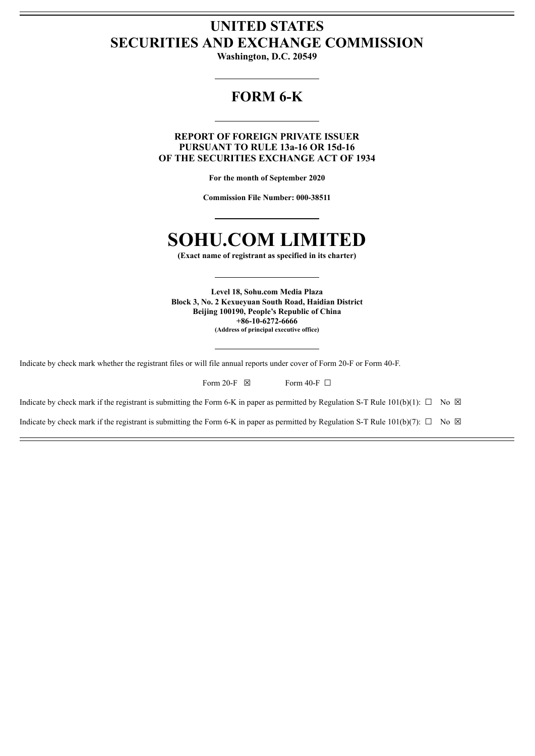## **UNITED STATES SECURITIES AND EXCHANGE COMMISSION**

**Washington, D.C. 20549**

## **FORM 6-K**

**REPORT OF FOREIGN PRIVATE ISSUER PURSUANT TO RULE 13a-16 OR 15d-16 OF THE SECURITIES EXCHANGE ACT OF 1934**

**For the month of September 2020**

**Commission File Number: 000-38511**

## **SOHU.COM LIMITED**

**(Exact name of registrant as specified in its charter)**

**Level 18, Sohu.com Media Plaza Block 3, No. 2 Kexueyuan South Road, Haidian District Beijing 100190, People's Republic of China +86-10-6272-6666 (Address of principal executive office)**

Indicate by check mark whether the registrant files or will file annual reports under cover of Form 20-F or Form 40-F.

| Form 20-F $\boxtimes$ | Form 40-F $\Box$ |
|-----------------------|------------------|
|-----------------------|------------------|

Indicate by check mark if the registrant is submitting the Form 6-K in paper as permitted by Regulation S-T Rule 101(b)(1):  $\Box$  No  $\boxtimes$ 

Indicate by check mark if the registrant is submitting the Form 6-K in paper as permitted by Regulation S-T Rule 101(b)(7):  $\Box$  No  $\boxtimes$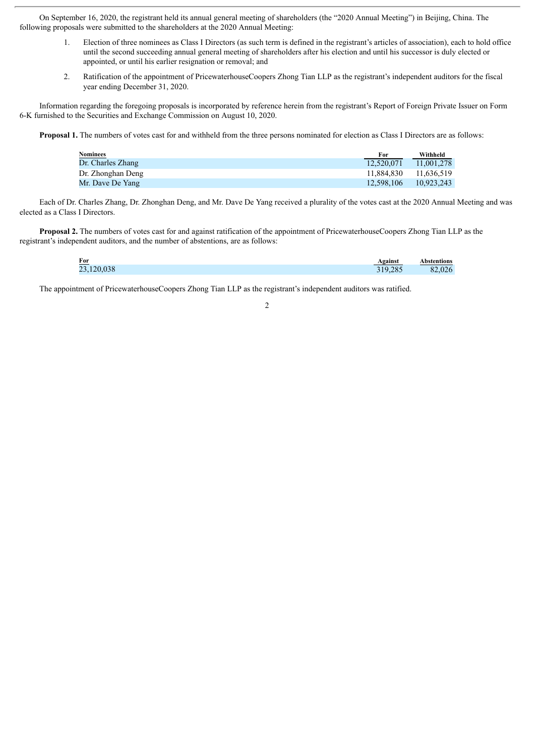On September 16, 2020, the registrant held its annual general meeting of shareholders (the "2020 Annual Meeting") in Beijing, China. The following proposals were submitted to the shareholders at the 2020 Annual Meeting:

- 1. Election of three nominees as Class I Directors (as such term is defined in the registrant's articles of association), each to hold office until the second succeeding annual general meeting of shareholders after his election and until his successor is duly elected or appointed, or until his earlier resignation or removal; and
- 2. Ratification of the appointment of PricewaterhouseCoopers Zhong Tian LLP as the registrant's independent auditors for the fiscal year ending December 31, 2020.

Information regarding the foregoing proposals is incorporated by reference herein from the registrant's Report of Foreign Private Issuer on Form 6-K furnished to the Securities and Exchange Commission on August 10, 2020.

**Proposal 1.** The numbers of votes cast for and withheld from the three persons nominated for election as Class I Directors are as follows:

| Nominees          | For        | Withheld   |
|-------------------|------------|------------|
| Dr. Charles Zhang | 12.520.071 | 11.001.278 |
| Dr. Zhonghan Deng | 11.884.830 | 11.636.519 |
| Mr. Dave De Yang  | 12.598.106 | 10.923.243 |
|                   |            |            |

Each of Dr. Charles Zhang, Dr. Zhonghan Deng, and Mr. Dave De Yang received a plurality of the votes cast at the 2020 Annual Meeting and was elected as a Class I Directors.

**Proposal 2.** The numbers of votes cast for and against ratification of the appointment of PricewaterhouseCoopers Zhong Tian LLP as the registrant's independent auditors, and the number of abstentions, are as follows:

| For        | Against        | Abstentions |
|------------|----------------|-------------|
| 23,120,038 | 19,285<br>J 1, | 82,026      |

The appointment of PricewaterhouseCoopers Zhong Tian LLP as the registrant's independent auditors was ratified.